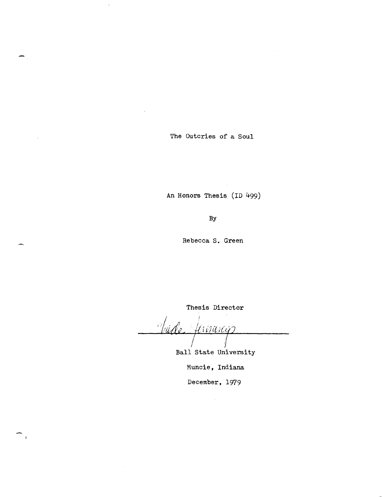The Outcries of a Soul

 $\pm$ 

 $\sim$ 

An Honors Thesis (ID 499)

By

Rebecca S. Green

Thesis Director

*r Jernany* 

Ball State University

Muncie, Indiana

December, 1979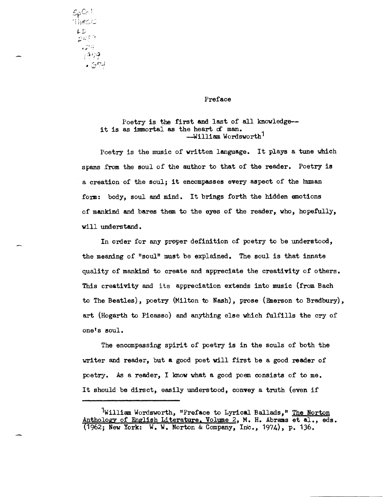$SpCo$ Thesis LD म् ।<br>सम्बद्धाः<br>सम्बद्धाः  $\mathcal{L} \left( \mathbb{R}^{n} \right)$  $.499$  $\centerdot$   $\mathcal{G}^{p,1}$ 

### Preface

Poetry is the first and last of all knowledge-it is as immortal as the heart of man. --William Wordsworth<sup>1</sup>

Poetry is the music of written language. It plays a tune Wich spans from the soul of the author to that of the reader. Poetry is a creation of the soul; it encompasses every aspect of the human form: body, soul and mind. It brings forth the hidden emotions of mankind and bares them to the eyes of the reader, who, hopefully, will understand.

In order for any proper definition of poetry to be understood, the meaning of "soul" must be explained. The soul is that innate quality of mankind to create and appreciate the creativity of others. This creativity and its appreciation extends into music (from Bach to The Beatles), poetry (Milton to Nash), prose (Emerson to Bradbury), art (Hogarth to Picasso) and anything else which fulfills the cry of one's soul.

The encompassing spirit of poetry is in the souls of both the writer and reader, but a good poet vill first be a good reader of poetry. As a reader, I know what a good poem consists of to me. It should be dirsct, easily understood, convey a truth (even if

William Wordsworth, "Preface to Lyrical Ballads," The Norton Anthology of English Literature. Volume 2, M. H. Abrams et al., eds. (1962; New York: W. W. Norton & Company, Inc., 1974), p. 136.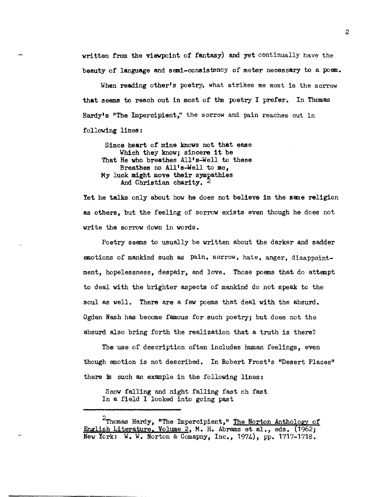written from the viewpoint of fantasy) and yet continually have the beauty of language and semi-consistency of meter necessary to a poem.

When reading other's poetry, what strikes me most is the sorrow that seems to reach out in most of the poetry I prefer. In Thomas Hardy's "The Impercipient," the sorrow and pain reaches out in following lines:

Since heart of mine knows not that ease Which they know; sincere it be That He who breathes All's-Well to these Breathes no All's-Well to me, My luck might move their sympathies And Christian charity. 2

Yet he talks only about how he does not believe in the same religion as others, but the feeling of sorrovexists even though he does not write the sorrow down in words.

Poetry seems to usually be written about the darker and sadder emotions of mankind such as pain, sorrow, hate, anger, disappointment, hopelessness, despair, and love. Those poems that do attempt to deal with the brighter aspects of mankind do not speak to the soul as well. There are a few poems that deal with the absurd. Ogden Nash has become famous for such poetry; but does not the absurd also bring forth the realization that a truth is there?

The use of description often includes human feelings, even though emotion is not described. In Robert Frost's "Desert Places" there is such an example in the following lines:

Snow falling and night falling fast oh fast In a field I looked into going past

2

<sup>&</sup>lt;sup>2</sup>Thomas Hardy, "The Impercipient," <u>The Norton Anthology of</u> English Literature. Volume 2, M. H. Abrams et al., eds. (1962; New York: W. W. Norton & Comapny, Inc., 1974), pp. 1717-1718.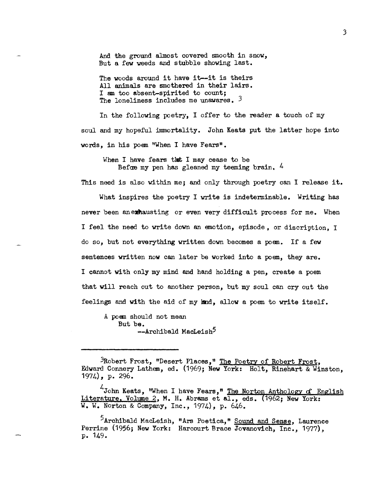And the ground almost covered smooth in snow, But a few weeds and stubble showing last.

The woods around it have it--it is theirs All animals are smothered in their lairs. I am too absent-spirited to count; The loneliness includes me unawares.  $3$ 

In the following poetry, I offer to the reader a touch of my soul and my hopeful immortality. John Keats put the latter hope into words, in his poem "When I have Fears".

When I have fears that I may cease to be Befae my pen has gleaned my teeming brain. 4

This need is also within me; and only through poetry can I release it. What inspires the poetry I write is indeterminable. Writing has never been anexhausting or even very difficult process for me. When I feel the need to write down an emotion, episode, or discription, I do so, but not everything written down becomes a poem. If a few sentences written now can later be worked into a poem, they are. I cannot with only my mind and hand holding a pen, create a poem that will reach out to another person, but my soul can cry out the feelings and with the aid of my land, allow a poem to write itself.

A poem should not mean But be. --Archibald MacLeish<sup>5</sup>

<sup>&</sup>lt;sup>3</sup>Robert Frost, "Desert Places," The Poetry of Robert Frost, Edward Connery Lathem, ed. (1969; New York: Holt, Rinehart & Winston, 1974), p. 296.

 $^{4}$ John Keats, "When I have Fears," The Norton Anthology of English Literature. Volume 2, M. H. Abrams et al., eds. (1962; New York: W. W. Norton & Company, Inc., 1974), p. 646.

 $^5$ Archibald MacLeish, "Ars Poetica," Sound and Sense, Laurence Perrine (1956; New York: Harcourt Brace Jovanovich, Inc., 1977), p. 149.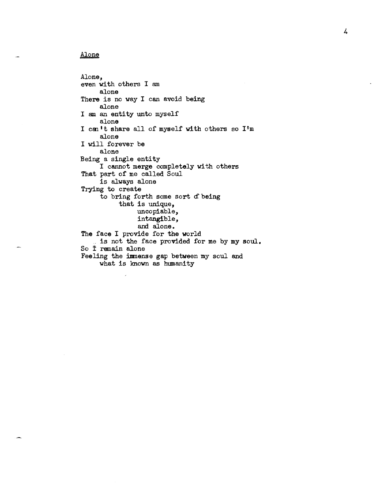## Alone

Alone, even with others I am alone There is no way I can avoid being alone I am an entity unto myself alone I can't share all of myself with others so I'm alone I will forever be alone Being a single entity I cannot merge completely with others That part of me called Soul is always alone Trying to create to bring forth some sort of being that is unique, uncopiable, intangible, and alone. The face I provide for the world is not the face provided for me by my soul. So İ remain alone Feeling the immense gap between my soul and what is known as humanity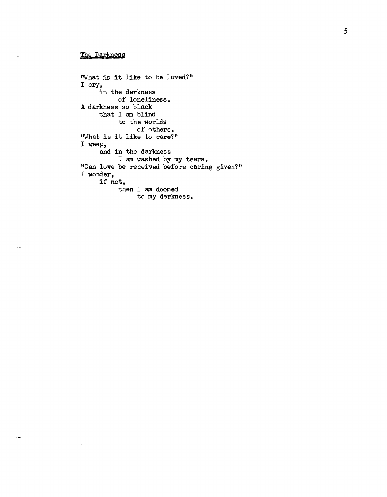## The Darkness

"What is it like to be loved?" I cry, in the darkness of loneliness. A darkness so black that I am blind to the worlds of others. "What is it like to care?" I weep, and in the darkness I am washed by my tears. "Can love be received before caring given?" I wonder, if not, then I am doomed to my darkness.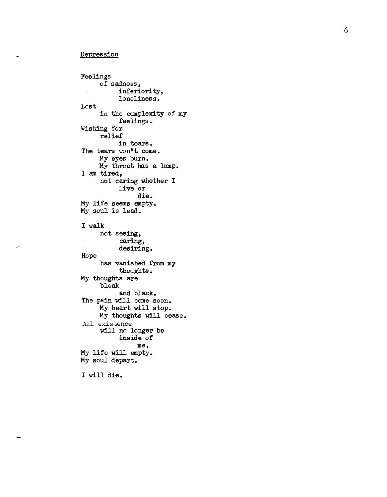### Depression

Feelings Lost of sadness, inferiority, loneliness. in the complexity of my feelings. Wishing for relief in tears. The tears won't come. My eyes burn. My throat has a lump. I am tired, not caring whether I live or die. My life seems empty. My soul is lead. I walk Hope not seeing, caring, desiring. has vanished from my thoughts. My thoughts are bleak and black. The pain will come soon. My heart will stop. My thoughts will cease. All existence will no longer be inside of me. My life will empty. My soul depart. I will die.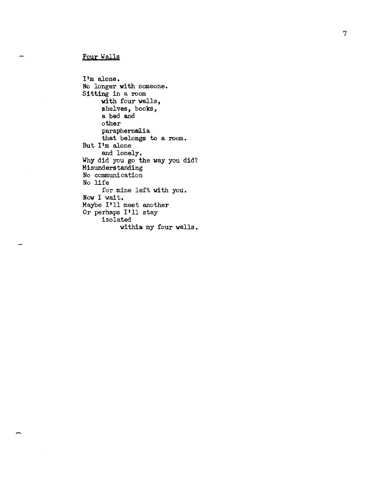# Four Walls

I'm alone. No longer with someone. Sitting in a room with four walls, shelves, books, a bed and other paraphernalia that belongs to a room. But  $I<sup>1</sup>$ m alone and lonely. Why did you go the way you did? Misunderstanding No communication No life for mine left with you. Now I wait. Maybe I'll meet another Or perhaps I'll stay isolated within my four walls.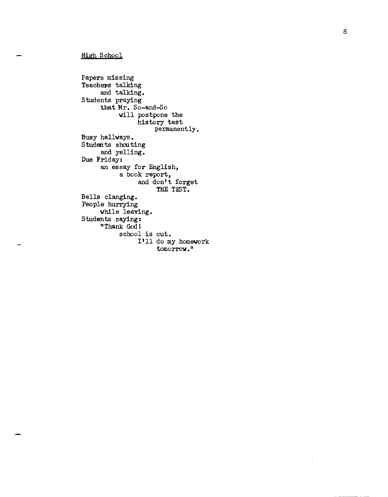## High School

Papers missing Teachers talking and talking. Students praying that Mr. So-and-So will postpone the history test permanently. Busy hallways. Students shouting and yelling. Due Friday: an essay for English, a book report, and don't forget THE TEST. Bells clanging. People hurrying while leaving. Students saying: "Thank God 1 school is out. I'll do my homework tomorrow."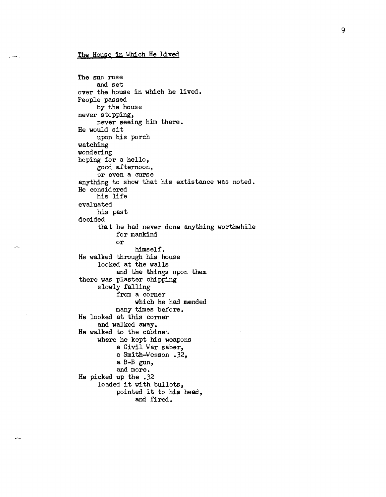### The House in Which He Lived

```
The sun rose 
     and set 
over the house in which he lived. 
People passed 
     by the house 
never stopping, 
     never seeing him there. 
He wou1d sit 
     upon his porch 
watching 
wondering 
hoping for a hello, 
     good afternoon, 
     or even a curse
anything to show that his extistance was noted. 
He considered 
     his life 
evaluated 
     his past 
decided 
     that he had never done anything worthwhile
           for mankind 
          or 
                himself. 
He walked through his house 
     looked at the walls 
          and the things upon them 
there was plaster chipping
     slowly falling 
          from a comer 
                which he had mended 
          many times before. 
He looked at this corner 
     and walked away. 
He walked to the cabinet 
     where he kept his weapons 
           a Civil War saber, 
           a Smith-Wesson .32, 
           a B-B gun, 
          and more. 
He picked up the .32 
     loaded it with bullets, 
          pointed it to his head, 
                and fired.
```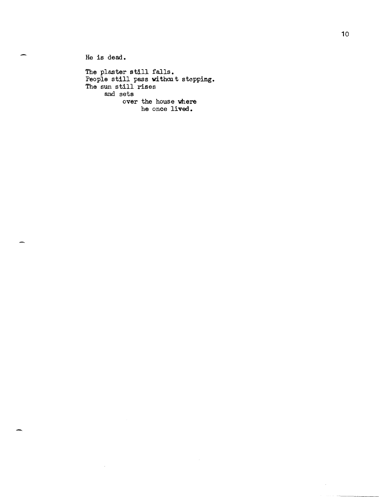He is dead.

 $\bar{z}$ 

The plaster still falls. People still pass withat stopping. The sun still rises and sets over the house where he once lived.

 $\bar{\gamma}$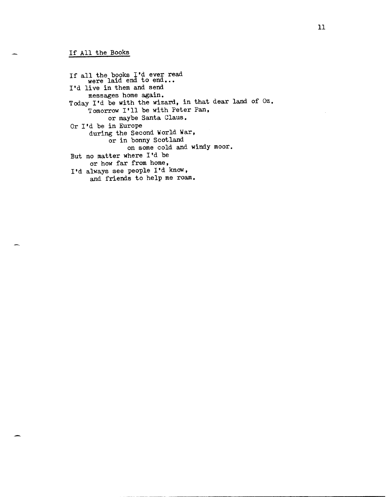If all the books I'd ever read were laid end to end... I'd live in them and send messages home again. Today I'd be with the wizard, in that dear land of Oz. Tomorrow I'll be with Peter Pan, or maybe Santa Claus. Or I'd be in Europe during the Second World War, or in bonny Scotland on some cold and windy moor. But no matter where I'd be or how far from home, I'd always see people I'd know, and friends to help me roam.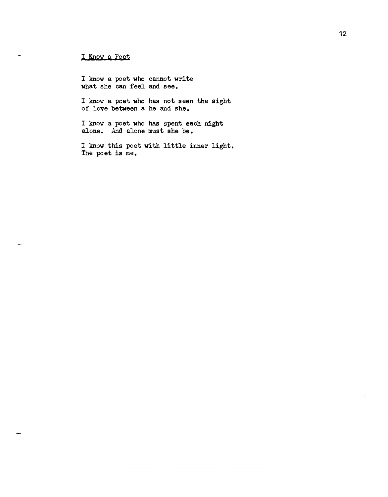# I Know a Poet

 $\sim$ 

I know a poet who cannot write what she can feel and see.

I know a poet who has not seen the sight of love between a he and she.

I know a poet who has spent each night alone. And alone must she be.

<sup>I</sup>know this poet with little inner light. The poet is me.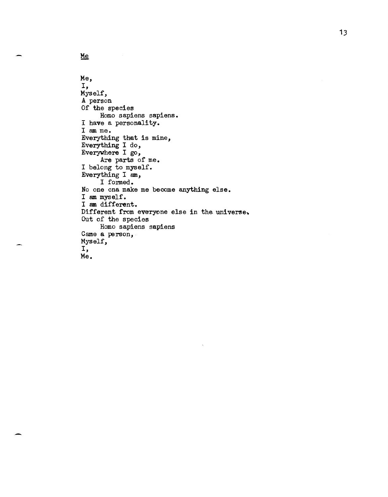```
Me, 
I, 
Myself, 
A person
Of the species 
     Homo sapiens sapiens. 
I have a personality. 
I am me. 
Everything that is mine, 
Everything I do, 
Everywhere I go, 
     Are parts of me. 
I belong to myself. 
Everything I am, 
     I fomed. 
No one cna make me become anything else. 
I am myself. 
I am different. 
Different from everyone else in the universe.
Out of the species 
     Homo sapiens sapiens 
Came a person,
Myself, 
I, 
Me.
```
Me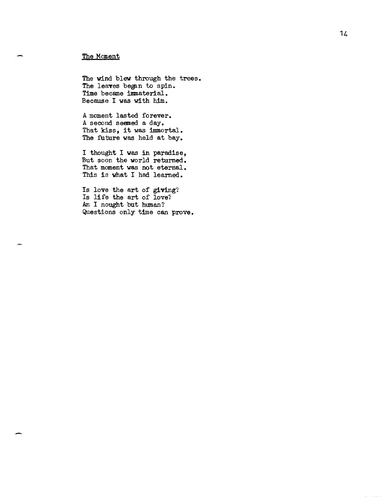## The Moment

The wind blew through the trees. The leaves began to spin. Time bocame immaterial. Becauso I was with him.

A moment lasted forever. A second seemed a day. That kiss, it was immortal. The future was held at bay.

I thought I was in paradise, But soon the world returned. That moment was not eternal. This is what I had learned.

Is love the art of giving? Is life the art of love? Am I nought but human? Questions only time can prove.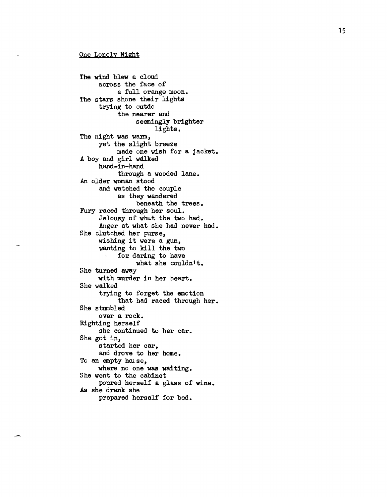The wind blew a cloud across the face of a full orange moon. The stars shone their lights trying to outdo the nearer and seemingly brighter lights. The night was warm, yet the slight breeze made one wish for a jacket. A boy and girl walked hand-in-hand through a wooded lane. An older woman stood and watched the couple as they wandered beneath the trees. Fury raced through her soul. Jelousy of what the two had. Anger at what she had never had. She clutched her purse, wishing it were a gun, wanting to kill the two<br>for daring to have for daring to have what she couldn't. She turned away with murder in her heart. She walked trying to forget the emotion that had raced through her. She stumbled over a rock. Righting herself she continued to her car. She got in, started her car, and drove to her home. To an empty house, where no one was waiting. She went to the cabinet poured herself a glass of vine. As she drank she prepared herself for bed.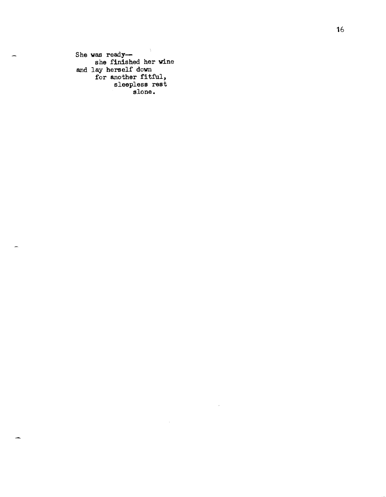$\sim 3$ She was readyshe finished her wine and lay herself down for another fitful, sleepless rest slone.

 $\sim$ 

 $\sim$ 

÷

.<br>Jeografi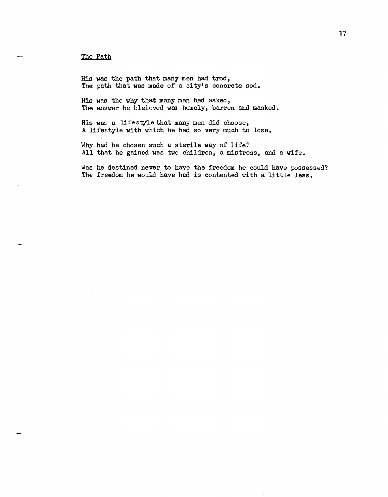### The Path

His was the path that many men had trod, The path that was made of a city's concrete sod.

His was the why that many men had asked, The answer he bleieved was homely, barren and masked.

His was a lifestyle that many men did choose, A lifestyle with which he had so very much to lose.

Why had he chosen such a sterile way of life? All that he gained was two children, a mistress, and a wife.

Was he destined never to have the freedom he could have possessed? The freedom he would have had is contented with a little less.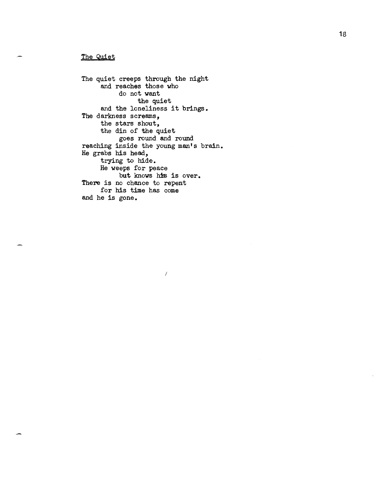## The Quiet

The quiet creeps through the night and reaches those who do not want the quiet and the loneliness it brings. The darkness screams, the stars shout, the din of the quiet goes round and round reaching inside the young man's brain. He grabs his head, trying to hide. He weeps for peace but knows his is over. There is no chance to repent for his time has come and he is gone.

/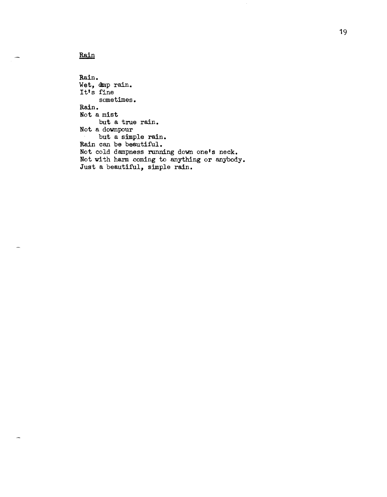Rain

Rain. Wet, dmp rain. It's fine sometimes. Rain. Not a mist but a true rain. Not a downpour but a simple rain. Rain can be beautiful. Not cold dampness running down one's neck. Not with harm coming to anything or anybody. Just a beautiful, simple rain.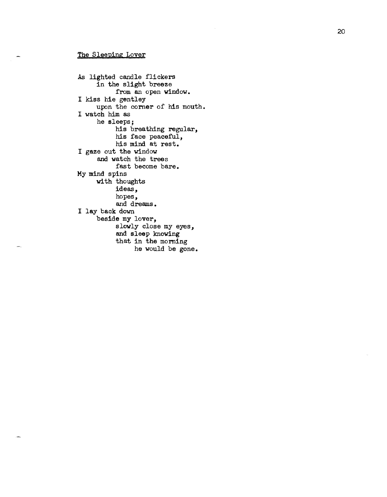### The Sleeping Lover

As lighted candle flickers in the slight breeze from an open window. I kiss hie gentley upon the corner of his mouth. I watch him as he sleeps; his breathing regular, his face peaceful, his mind at rest. I gaze out the window and watch the trees fast become bare. My mind spins with thoughts ideas, hopes, and dreams. I lay back down beside my lover, slowly close my eyes, and sleep knowing that in the morning he would be gone.